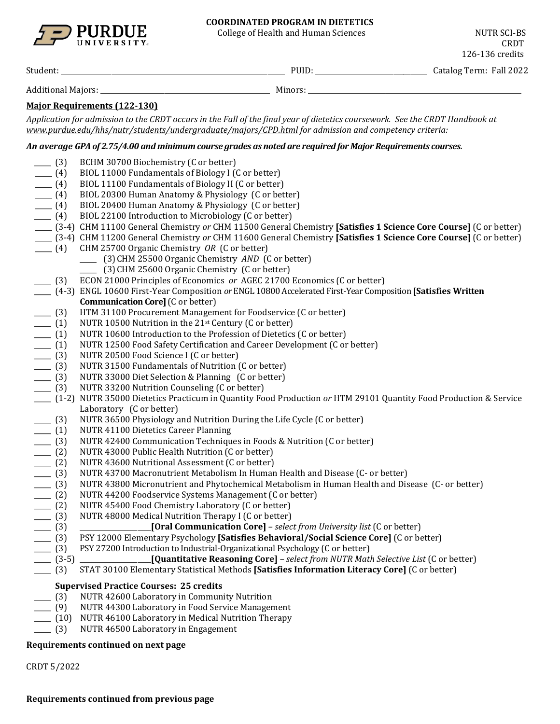

#### **COORDINATED PROGRAM IN DIETETICS**

College of Health and Human Sciences NUTR SCI-BS

CRDT 126-136 credits

Student: \_\_\_\_\_\_\_\_\_\_\_\_\_\_\_\_\_\_\_\_\_\_\_\_\_\_\_\_\_\_\_\_\_\_\_\_\_\_\_\_\_\_\_\_\_\_\_\_\_\_\_\_\_\_\_\_\_\_\_\_\_\_\_\_\_\_ PUID: \_\_\_\_\_\_\_\_\_\_\_\_\_\_\_\_\_\_\_\_\_\_\_\_\_\_\_\_\_\_\_\_\_ Catalog Term: Fall 2022

Additional Majors: \_\_\_\_\_\_\_\_\_\_\_\_\_\_\_\_\_\_\_\_\_\_\_\_\_\_\_\_\_\_\_\_\_\_\_\_\_\_\_\_\_\_\_\_\_\_\_\_\_\_ Minors: \_\_\_\_\_\_\_\_\_\_\_\_\_\_\_\_\_\_\_\_\_\_\_\_\_\_\_\_\_\_\_\_\_\_\_\_\_\_\_\_\_\_\_\_\_\_\_\_\_\_\_\_\_\_\_\_\_\_\_\_\_\_\_

## **Major Requirements (122-130)**

*Application for admission to the CRDT occurs in the Fall of the final year of dietetics coursework. See the CRDT Handbook at [www.purdue.edu/hhs/nutr/students/undergraduate/majors/CPD.html](http://www.purdue.edu/hhs/nutr/students/undergraduate/majors/CPD.html) for admission and competency criteria:* 

## *An average GPA of 2.75/4.00 and minimum course grades as noted are required for Major Requirements courses.*

| $- (3)$                          | BCHM 30700 Biochemistry (C or better)                                                                            |
|----------------------------------|------------------------------------------------------------------------------------------------------------------|
| $- (4)$                          | BIOL 11000 Fundamentals of Biology I (C or better)                                                               |
| $- (4)$                          | BIOL 11100 Fundamentals of Biology II (C or better)                                                              |
| $- (4)$                          | BIOL 20300 Human Anatomy & Physiology (C or better)                                                              |
| $- (4)$                          | BIOL 20400 Human Anatomy & Physiology (C or better)                                                              |
| $- (4)$                          | BIOL 22100 Introduction to Microbiology (C or better)                                                            |
|                                  | [3-4] CHM 11100 General Chemistry or CHM 11500 General Chemistry [Satisfies 1 Science Core Course] (C or better) |
|                                  | (3-4) CHM 11200 General Chemistry or CHM 11600 General Chemistry [Satisfies 1 Science Core Course] (C or better) |
| $- (4)$                          | CHM 25700 Organic Chemistry OR (C or better)                                                                     |
|                                  | (3) CHM 25500 Organic Chemistry AND (C or better)                                                                |
|                                  | (3) CHM 25600 Organic Chemistry (C or better)                                                                    |
| (3)                              | ECON 21000 Principles of Economics or AGEC 21700 Economics (C or better)                                         |
|                                  | (4-3) ENGL 10600 First-Year Composition or ENGL 10800 Accelerated First-Year Composition [Satisfies Written      |
|                                  | <b>Communication Core]</b> (C or better)                                                                         |
| $- (3)$                          | HTM 31100 Procurement Management for Foodservice (C or better)                                                   |
| $\frac{1}{\sqrt{1-\frac{1}{2}}}$ | NUTR 10500 Nutrition in the 21st Century (C or better)                                                           |
| $\frac{1}{\sqrt{1-\frac{1}{2}}}$ | NUTR 10600 Introduction to the Profession of Dietetics (C or better)                                             |
| $- (1)$                          | NUTR 12500 Food Safety Certification and Career Development (C or better)                                        |
| $- (3)$                          | NUTR 20500 Food Science I (C or better)                                                                          |
| $\frac{1}{2}$ (3)                | NUTR 31500 Fundamentals of Nutrition (C or better)                                                               |
| $- (3)$                          | NUTR 33000 Diet Selection & Planning (C or better)                                                               |
| $- (3)$                          | NUTR 33200 Nutrition Counseling (C or better)                                                                    |
|                                  | (1-2) NUTR 35000 Dietetics Practicum in Quantity Food Production or HTM 29101 Quantity Food Production & Service |
|                                  | Laboratory (C or better)                                                                                         |
| $- (3)$                          | NUTR 36500 Physiology and Nutrition During the Life Cycle (C or better)                                          |
| $- (1)$                          | <b>NUTR 41100 Dietetics Career Planning</b>                                                                      |
| $- (3)$                          | NUTR 42400 Communication Techniques in Foods & Nutrition (C or better)                                           |
| $- (2)$                          | NUTR 43000 Public Health Nutrition (C or better)                                                                 |
| $- (2)$                          | NUTR 43600 Nutritional Assessment (C or better)                                                                  |
| $- (3)$                          | NUTR 43700 Macronutrient Metabolism In Human Health and Disease (C- or better)                                   |
| $- (3)$                          | NUTR 43800 Micronutrient and Phytochemical Metabolism in Human Health and Disease (C- or better)                 |
| $- (2)$                          | NUTR 44200 Foodservice Systems Management (C or better)                                                          |
| $- (2)$                          | NUTR 45400 Food Chemistry Laboratory (C or better)                                                               |
| $- (3)$                          | NUTR 48000 Medical Nutrition Therapy I (C or better)                                                             |
| $- (3)$                          | [Oral Communication Core] - select from University list (C or better)                                            |
| $- (3)$                          | PSY 12000 Elementary Psychology [Satisfies Behavioral/Social Science Core] (C or better)                         |
| $- (3)$                          | PSY 27200 Introduction to Industrial-Organizational Psychology (C or better)                                     |
| $- (3-5)$                        | [Quantitative Reasoning Core] - select from NUTR Math Selective List (C or better)                               |
| $- (3)$                          | STAT 30100 Elementary Statistical Methods [Satisfies Information Literacy Core] (C or better)                    |
|                                  | <b>Supervised Practice Courses: 25 credits</b>                                                                   |
| $\frac{1}{(3)}$                  | NUTR 42600 Laboratory in Community Nutrition                                                                     |
|                                  | [9] NUTR 44300 Laboratory in Food Service Management                                                             |
|                                  | (10) NUTR 46100 Laboratory in Medical Nutrition Therapy                                                          |

\_\_\_\_\_ (3) NUTR 46500 Laboratory in Engagement

#### **Requirements continued on next page**

CRDT 5/2022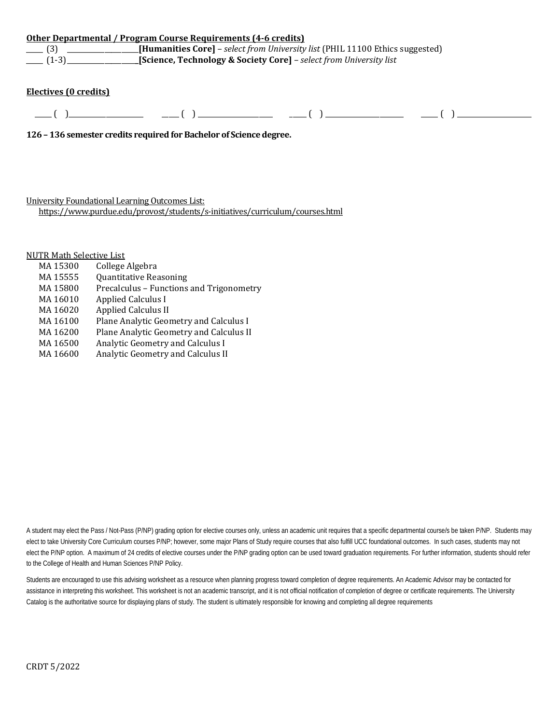|                   | Other Departmental / Program Course Requirements (4-6 credits)                              |  |
|-------------------|---------------------------------------------------------------------------------------------|--|
| $\frac{1}{2}$ (3) | <b>[Humanities Core]</b> – <i>select from University list</i> (PHIL 11100 Ethics suggested) |  |
| $(1-3)$           | <b>Science, Technology &amp; Society Core</b> ] - select from University list               |  |
|                   |                                                                                             |  |

### **Electives (0 credits)**

 $\frac{1}{\sqrt{2\pi}}$  ( )  $\frac{1}{\sqrt{2\pi}}$  ( )  $\frac{1}{\sqrt{2\pi}}$  ( )  $\frac{1}{\sqrt{2\pi}}$  ( )  $\frac{1}{\sqrt{2\pi}}$ 

**126 – 136 semester credits required for Bachelor of Science degree.**

University Foundational Learning Outcomes List:

<https://www.purdue.edu/provost/students/s-initiatives/curriculum/courses.html>

# NUTR Math Selective List<br>MA 15300 College

MA 15300 College Algebra<br>MA 15555 Ouantitative Rea MA 15555 Quantitative Reasoning<br>MA 15800 Precalculus – Functions MA 15800 Precalculus – Functions and Trigonometry<br>MA 16010 Applied Calculus I MA 16010 Applied Calculus I<br>MA 16020 Applied Calculus II MA 16020 Applied Calculus II<br>MA 16100 Plane Analytic Geor MA 16100 Plane Analytic Geometry and Calculus I<br>MA 16200 Plane Analytic Geometry and Calculus II MA 16200 Plane Analytic Geometry and Calculus II<br>MA 16500 Analytic Geometry and Calculus I MA 16500 Analytic Geometry and Calculus I<br>MA 16600 Analytic Geometry and Calculus II Analytic Geometry and Calculus II

A student may elect the Pass / Not-Pass (P/NP) grading option for elective courses only, unless an academic unit requires that a specific departmental course/s be taken P/NP. Students may elect to take University Core Curriculum courses P/NP; however, some major Plans of Study require courses that also fulfill UCC foundational outcomes. In such cases, students may not elect the P/NP option. A maximum of 24 credits of elective courses under the P/NP grading option can be used toward graduation requirements. For further information, students should refer to the College of Health and Human Sciences P/NP Policy.

Students are encouraged to use this advising worksheet as a resource when planning progress toward completion of degree requirements. An Academic Advisor may be contacted for assistance in interpreting this worksheet. This worksheet is not an academic transcript, and it is not official notification of completion of degree or certificate requirements. The University Catalog is the authoritative source for displaying plans of study. The student is ultimately responsible for knowing and completing all degree requirements